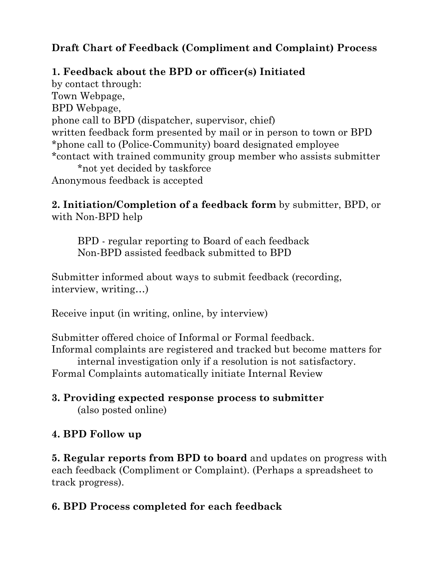### **Draft Chart of Feedback (Compliment and Complaint) Process**

### **1. Feedback about the BPD or officer(s) Initiated**

by contact through: Town Webpage, BPD Webpage, phone call to BPD (dispatcher, supervisor, chief) written feedback form presented by mail or in person to town or BPD \*phone call to (Police-Community) board designated employee \*contact with trained community group member who assists submitter \*not yet decided by taskforce Anonymous feedback is accepted

**2. Initiation/Completion of a feedback form** by submitter, BPD, or with Non-BPD help

BPD - regular reporting to Board of each feedback Non-BPD assisted feedback submitted to BPD

Submitter informed about ways to submit feedback (recording, interview, writing…)

Receive input (in writing, online, by interview)

Submitter offered choice of Informal or Formal feedback. Informal complaints are registered and tracked but become matters for internal investigation only if a resolution is not satisfactory.

Formal Complaints automatically initiate Internal Review

#### **3. Providing expected response process to submitter**  (also posted online)

# **4. BPD Follow up**

**5. Regular reports from BPD to board** and updates on progress with each feedback (Compliment or Complaint). (Perhaps a spreadsheet to track progress).

# **6. BPD Process completed for each feedback**